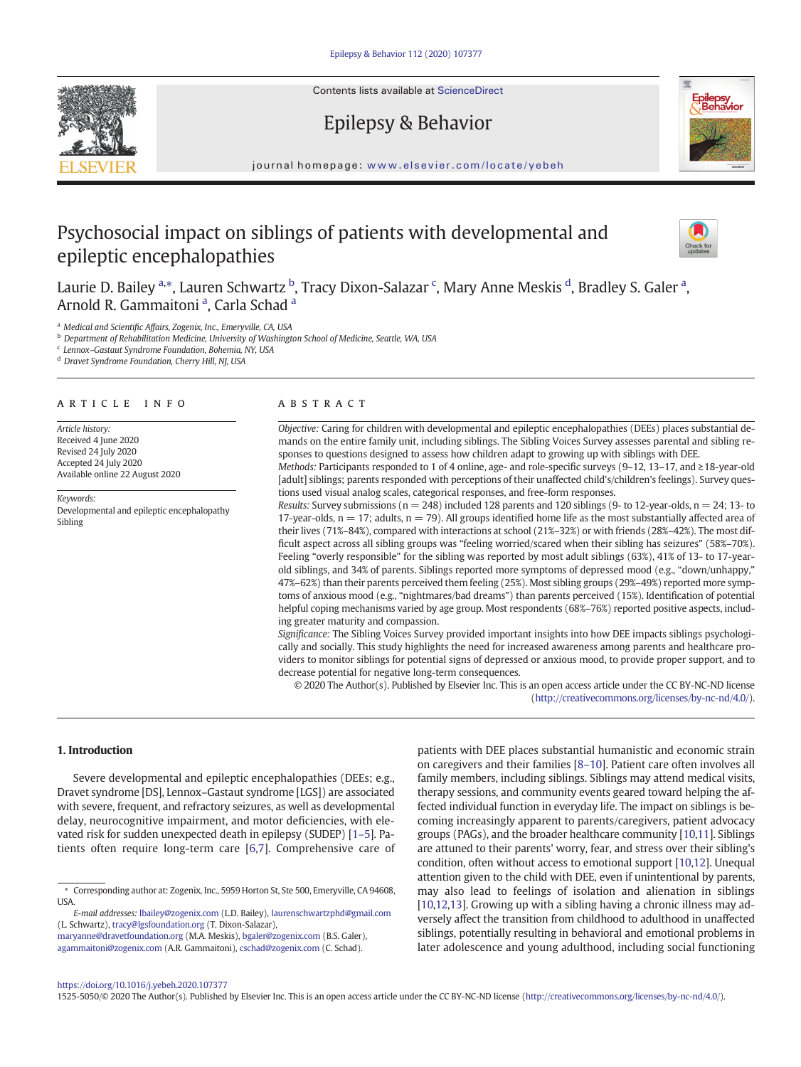Contents lists available at ScienceDirect

Epilepsy & Behavior



journal homepage: www.elsevier.com/locate/yebeh

# Psychosocial impact on siblings of patients with developmental and epileptic encephalopathies



Laurie D. Bailey <sup>a,</sup>\*, Lauren Schwartz <sup>b</sup>, Tracy Dixon-Salazar <sup>c</sup>, Mary Anne Meskis <sup>d</sup>, Bradley S. Galer <sup>a</sup>, Arnold R. Gammaitoni <sup>a</sup>, Carla Schad <sup>a</sup>

a Medical and Scientific Affairs, Zogenix, Inc., Emeryville, CA, USA

**b** Department of Rehabilitation Medicine, University of Washington School of Medicine, Seattle, WA, USA

<sup>c</sup> Lennox–Gastaut Syndrome Foundation, Bohemia, NY, USA

<sup>d</sup> Dravet Syndrome Foundation, Cherry Hill, NJ, USA

#### article info abstract

Article history: Received 4 June 2020 Revised 24 July 2020 Accepted 24 July 2020 Available online 22 August 2020

Keywords: Developmental and epileptic encephalopathy Sibling

Objective: Caring for children with developmental and epileptic encephalopathies (DEEs) places substantial demands on the entire family unit, including siblings. The Sibling Voices Survey assesses parental and sibling responses to questions designed to assess how children adapt to growing up with siblings with DEE. Methods: Participants responded to 1 of 4 online, age- and role-specific surveys (9–12, 13–17, and ≥18-year-old

[adult] siblings; parents responded with perceptions of their unaffected child's/children's feelings). Survey questions used visual analog scales, categorical responses, and free-form responses.

Results: Survey submissions ( $n = 248$ ) included 128 parents and 120 siblings (9- to 12-year-olds,  $n = 24$ ; 13-to 17-year-olds,  $n = 17$ ; adults,  $n = 79$ ). All groups identified home life as the most substantially affected area of their lives (71%–84%), compared with interactions at school (21%–32%) or with friends (28%–42%). The most difficult aspect across all sibling groups was "feeling worried/scared when their sibling has seizures" (58%–70%). Feeling "overly responsible" for the sibling was reported by most adult siblings (63%), 41% of 13- to 17-yearold siblings, and 34% of parents. Siblings reported more symptoms of depressed mood (e.g., "down/unhappy," 47%–62%) than their parents perceived them feeling (25%). Most sibling groups (29%–49%) reported more symptoms of anxious mood (e.g., "nightmares/bad dreams") than parents perceived (15%). Identification of potential helpful coping mechanisms varied by age group. Most respondents (68%–76%) reported positive aspects, including greater maturity and compassion.

Significance: The Sibling Voices Survey provided important insights into how DEE impacts siblings psychologically and socially. This study highlights the need for increased awareness among parents and healthcare providers to monitor siblings for potential signs of depressed or anxious mood, to provide proper support, and to decrease potential for negative long-term consequences.

© 2020 The Author(s). Published by Elsevier Inc. This is an open access article under the CC BY-NC-ND license (http://creativecommons.org/licenses/by-nc-nd/4.0/).

#### 1. Introduction

Severe developmental and epileptic encephalopathies (DEEs; e.g., Dravet syndrome [DS], Lennox–Gastaut syndrome [LGS]) are associated with severe, frequent, and refractory seizures, as well as developmental delay, neurocognitive impairment, and motor deficiencies, with elevated risk for sudden unexpected death in epilepsy (SUDEP) [1–5]. Patients often require long-term care [6,7]. Comprehensive care of

maryanne@dravetfoundation.org (M.A. Meskis), bgaler@zogenix.com (B.S. Galer), agammaitoni@zogenix.com (A.R. Gammaitoni), cschad@zogenix.com (C. Schad).

patients with DEE places substantial humanistic and economic strain on caregivers and their families [8–10]. Patient care often involves all family members, including siblings. Siblings may attend medical visits, therapy sessions, and community events geared toward helping the affected individual function in everyday life. The impact on siblings is becoming increasingly apparent to parents/caregivers, patient advocacy groups (PAGs), and the broader healthcare community [10,11]. Siblings are attuned to their parents' worry, fear, and stress over their sibling's condition, often without access to emotional support [10,12]. Unequal attention given to the child with DEE, even if unintentional by parents, may also lead to feelings of isolation and alienation in siblings [10,12,13]. Growing up with a sibling having a chronic illness may adversely affect the transition from childhood to adulthood in unaffected siblings, potentially resulting in behavioral and emotional problems in later adolescence and young adulthood, including social functioning

https://doi.org/10.1016/j.yebeh.2020.107377

1525-5050/© 2020 The Author(s). Published by Elsevier Inc. This is an open access article under the CC BY-NC-ND license (http://creativecommons.org/licenses/by-nc-nd/4.0/).

<sup>⁎</sup> Corresponding author at: Zogenix, Inc., 5959 Horton St, Ste 500, Emeryville, CA 94608, **ISA** 

E-mail addresses: lbailey@zogenix.com (L.D. Bailey), laurenschwartzphd@gmail.com (L. Schwartz), tracy@lgsfoundation.org (T. Dixon-Salazar),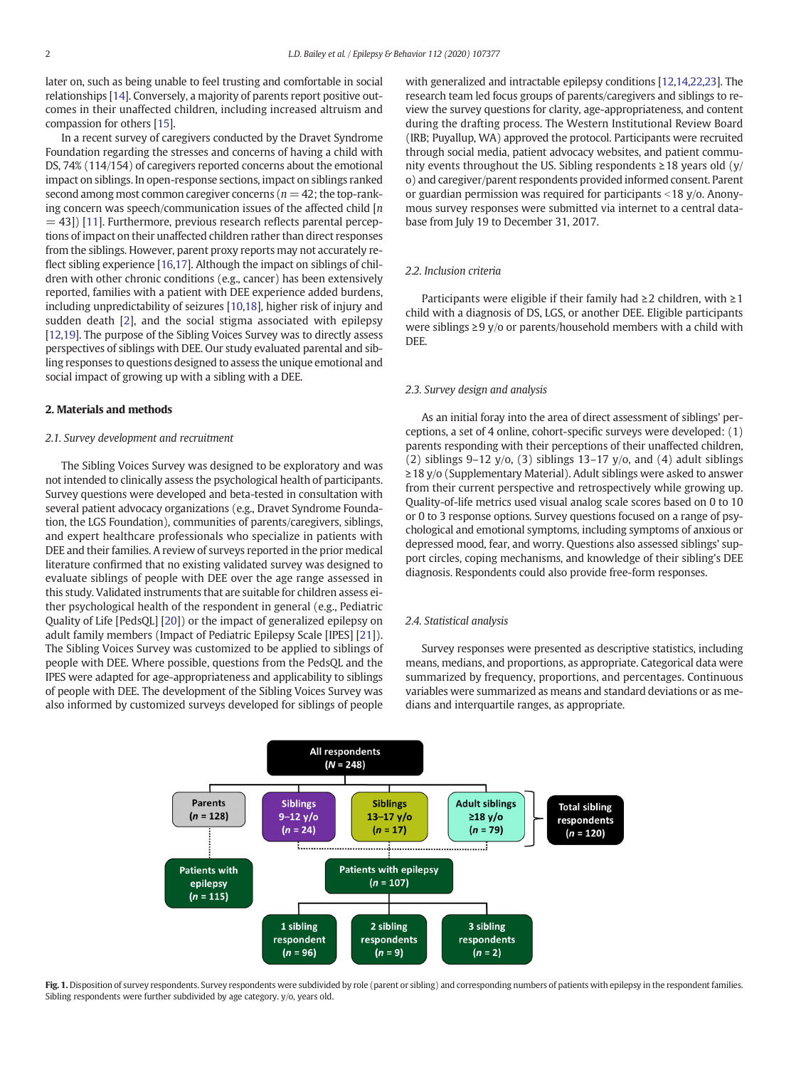later on, such as being unable to feel trusting and comfortable in social relationships [14]. Conversely, a majority of parents report positive outcomes in their unaffected children, including increased altruism and compassion for others [15].

In a recent survey of caregivers conducted by the Dravet Syndrome Foundation regarding the stresses and concerns of having a child with DS, 74% (114/154) of caregivers reported concerns about the emotional impact on siblings. In open-response sections, impact on siblings ranked second among most common caregiver concerns ( $n = 42$ ; the top-ranking concern was speech/communication issues of the affected child  $[n]$  $=$  43]) [11]. Furthermore, previous research reflects parental perceptions of impact on their unaffected children rather than direct responses from the siblings. However, parent proxy reports may not accurately reflect sibling experience [16,17]. Although the impact on siblings of children with other chronic conditions (e.g., cancer) has been extensively reported, families with a patient with DEE experience added burdens, including unpredictability of seizures [10,18], higher risk of injury and sudden death [2], and the social stigma associated with epilepsy [12,19]. The purpose of the Sibling Voices Survey was to directly assess perspectives of siblings with DEE. Our study evaluated parental and sibling responses to questions designed to assess the unique emotional and social impact of growing up with a sibling with a DEE.

#### 2. Materials and methods

#### 2.1. Survey development and recruitment

The Sibling Voices Survey was designed to be exploratory and was not intended to clinically assess the psychological health of participants. Survey questions were developed and beta-tested in consultation with several patient advocacy organizations (e.g., Dravet Syndrome Foundation, the LGS Foundation), communities of parents/caregivers, siblings, and expert healthcare professionals who specialize in patients with DEE and their families. A review of surveys reported in the prior medical literature confirmed that no existing validated survey was designed to evaluate siblings of people with DEE over the age range assessed in this study. Validated instruments that are suitable for children assess either psychological health of the respondent in general (e.g., Pediatric Quality of Life [PedsQL] [20]) or the impact of generalized epilepsy on adult family members (Impact of Pediatric Epilepsy Scale [IPES] [21]). The Sibling Voices Survey was customized to be applied to siblings of people with DEE. Where possible, questions from the PedsQL and the IPES were adapted for age-appropriateness and applicability to siblings of people with DEE. The development of the Sibling Voices Survey was also informed by customized surveys developed for siblings of people

with generalized and intractable epilepsy conditions [12,14,22,23]. The research team led focus groups of parents/caregivers and siblings to review the survey questions for clarity, age-appropriateness, and content during the drafting process. The Western Institutional Review Board (IRB; Puyallup, WA) approved the protocol. Participants were recruited through social media, patient advocacy websites, and patient community events throughout the US. Sibling respondents ≥18 years old (y/ o) and caregiver/parent respondents provided informed consent. Parent or guardian permission was required for participants  $\langle 18 \rangle$  y/o. Anonymous survey responses were submitted via internet to a central database from July 19 to December 31, 2017.

#### 2.2. Inclusion criteria

Participants were eligible if their family had ≥2 children, with ≥1 child with a diagnosis of DS, LGS, or another DEE. Eligible participants were siblings ≥9 y/o or parents/household members with a child with DEE.

#### 2.3. Survey design and analysis

As an initial foray into the area of direct assessment of siblings' perceptions, a set of 4 online, cohort-specific surveys were developed: (1) parents responding with their perceptions of their unaffected children, (2) siblings 9–12 y/o, (3) siblings 13–17 y/o, and (4) adult siblings ≥18 y/o (Supplementary Material). Adult siblings were asked to answer from their current perspective and retrospectively while growing up. Quality-of-life metrics used visual analog scale scores based on 0 to 10 or 0 to 3 response options. Survey questions focused on a range of psychological and emotional symptoms, including symptoms of anxious or depressed mood, fear, and worry. Questions also assessed siblings' support circles, coping mechanisms, and knowledge of their sibling's DEE diagnosis. Respondents could also provide free-form responses.

#### 2.4. Statistical analysis

Survey responses were presented as descriptive statistics, including means, medians, and proportions, as appropriate. Categorical data were summarized by frequency, proportions, and percentages. Continuous variables were summarized as means and standard deviations or as medians and interquartile ranges, as appropriate.



Fig. 1. Disposition of survey respondents. Survey respondents were subdivided by role (parent or sibling) and corresponding numbers of patients with epilepsy in the respondent families. Sibling respondents were further subdivided by age category. y/o, years old.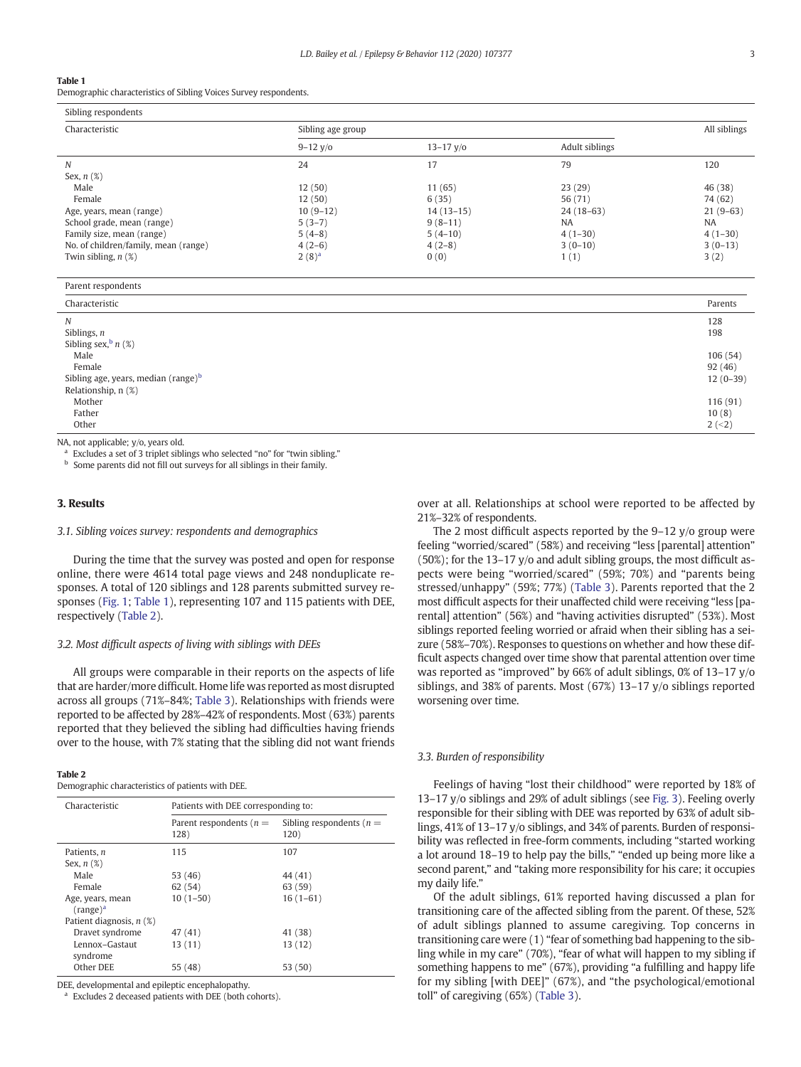#### Table 1

Demographic characteristics of Sibling Voices Survey respondents.

| Characteristic                       | Sibling age group |               |                | All siblings |
|--------------------------------------|-------------------|---------------|----------------|--------------|
|                                      | $9 - 12$ y/o      | $13 - 17$ y/o | Adult siblings |              |
| N                                    | 24                | 17            | 79             | 120          |
| Sex, $n$ $(\%)$                      |                   |               |                |              |
| Male                                 | 12(50)            | 11(65)        | 23(29)         | 46 (38)      |
| Female                               | 12(50)            | 6(35)         | 56 (71)        | 74 (62)      |
| Age, years, mean (range)             | $10(9-12)$        | $14(13-15)$   | $24(18-63)$    | $21(9-63)$   |
| School grade, mean (range)           | $5(3-7)$          | $9(8-11)$     | <b>NA</b>      | <b>NA</b>    |
| Family size, mean (range)            | $5(4-8)$          | $5(4-10)$     | $4(1-30)$      | $4(1-30)$    |
| No. of children/family, mean (range) | $4(2-6)$          | $4(2-8)$      | $3(0-10)$      | $3(0-13)$    |
| Twin sibling, $n$ $(\%)$             | $2(8)^a$          | 0(0)          | 1(1)           | 3(2)         |

| Parent respondents                                                |                                 |
|-------------------------------------------------------------------|---------------------------------|
| Characteristic                                                    | Parents                         |
| N<br>Siblings, $n$<br>Sibling sex, $\frac{b}{n}$ (%)              | 128<br>198                      |
| Male<br>Female<br>Sibling age, years, median (range) <sup>b</sup> | 106(54)<br>92(46)<br>$12(0-39)$ |
| Relationship, n (%)<br>Mother<br>Father<br>Other                  | 116 (91)<br>10(8)<br>$2 (-2)$   |

NA. not applicable; y/o, years old.

Parent respondents

Excludes a set of 3 triplet siblings who selected "no" for "twin sibling."

**b** Some parents did not fill out surveys for all siblings in their family.

#### 3. Results

#### 3.1. Sibling voices survey: respondents and demographics

During the time that the survey was posted and open for response online, there were 4614 total page views and 248 nonduplicate responses. A total of 120 siblings and 128 parents submitted survey responses (Fig. 1; Table 1), representing 107 and 115 patients with DEE, respectively (Table 2).

#### 3.2. Most difficult aspects of living with siblings with DEEs

All groups were comparable in their reports on the aspects of life that are harder/more difficult. Home life was reported as most disrupted across all groups (71%–84%; Table 3). Relationships with friends were reported to be affected by 28%–42% of respondents. Most (63%) parents reported that they believed the sibling had difficulties having friends over to the house, with 7% stating that the sibling did not want friends

#### Table 2

Demographic characteristics of patients with DEE.

| Characteristic                         | Patients with DEE corresponding to: |                                     |
|----------------------------------------|-------------------------------------|-------------------------------------|
|                                        | Parent respondents ( $n =$<br>128)  | Sibling respondents ( $n =$<br>120) |
| Patients, n                            | 115                                 | 107                                 |
| Sex, $n$ $(\%)$                        |                                     |                                     |
| Male                                   | 53 (46)                             | 44 (41)                             |
| Female                                 | 62(54)                              | 63 (59)                             |
| Age, years, mean<br>$(\text{range})^a$ | $10(1-50)$                          | $16(1-61)$                          |
| Patient diagnosis, $n$ (%)             |                                     |                                     |
| Dravet syndrome                        | 47 (41)                             | 41 (38)                             |
| Lennox-Gastaut<br>syndrome             | 13(11)                              | 13 (12)                             |
| Other DEE                              | 55 (48)                             | 53 (50)                             |

DEE, developmental and epileptic encephalopathy.

Excludes 2 deceased patients with DEE (both cohorts).

over at all. Relationships at school were reported to be affected by 21%–32% of respondents.

The 2 most difficult aspects reported by the  $9-12$  y/o group were feeling "worried/scared" (58%) and receiving "less [parental] attention" (50%); for the 13–17 y/o and adult sibling groups, the most difficult aspects were being "worried/scared" (59%; 70%) and "parents being stressed/unhappy" (59%; 77%) (Table 3). Parents reported that the 2 most difficult aspects for their unaffected child were receiving "less [parental] attention" (56%) and "having activities disrupted" (53%). Most siblings reported feeling worried or afraid when their sibling has a seizure (58%–70%). Responses to questions on whether and how these difficult aspects changed over time show that parental attention over time was reported as "improved" by 66% of adult siblings, 0% of 13–17 y/o siblings, and 38% of parents. Most (67%) 13–17 y/o siblings reported worsening over time.

#### 3.3. Burden of responsibility

Feelings of having "lost their childhood" were reported by 18% of 13–17 y/o siblings and 29% of adult siblings (see Fig. 3). Feeling overly responsible for their sibling with DEE was reported by 63% of adult siblings, 41% of 13–17 y/o siblings, and 34% of parents. Burden of responsibility was reflected in free-form comments, including "started working a lot around 18–19 to help pay the bills," "ended up being more like a second parent," and "taking more responsibility for his care; it occupies my daily life."

Of the adult siblings, 61% reported having discussed a plan for transitioning care of the affected sibling from the parent. Of these, 52% of adult siblings planned to assume caregiving. Top concerns in transitioning care were (1) "fear of something bad happening to the sibling while in my care" (70%), "fear of what will happen to my sibling if something happens to me" (67%), providing "a fulfilling and happy life for my sibling [with DEE]" (67%), and "the psychological/emotional toll" of caregiving (65%) (Table 3).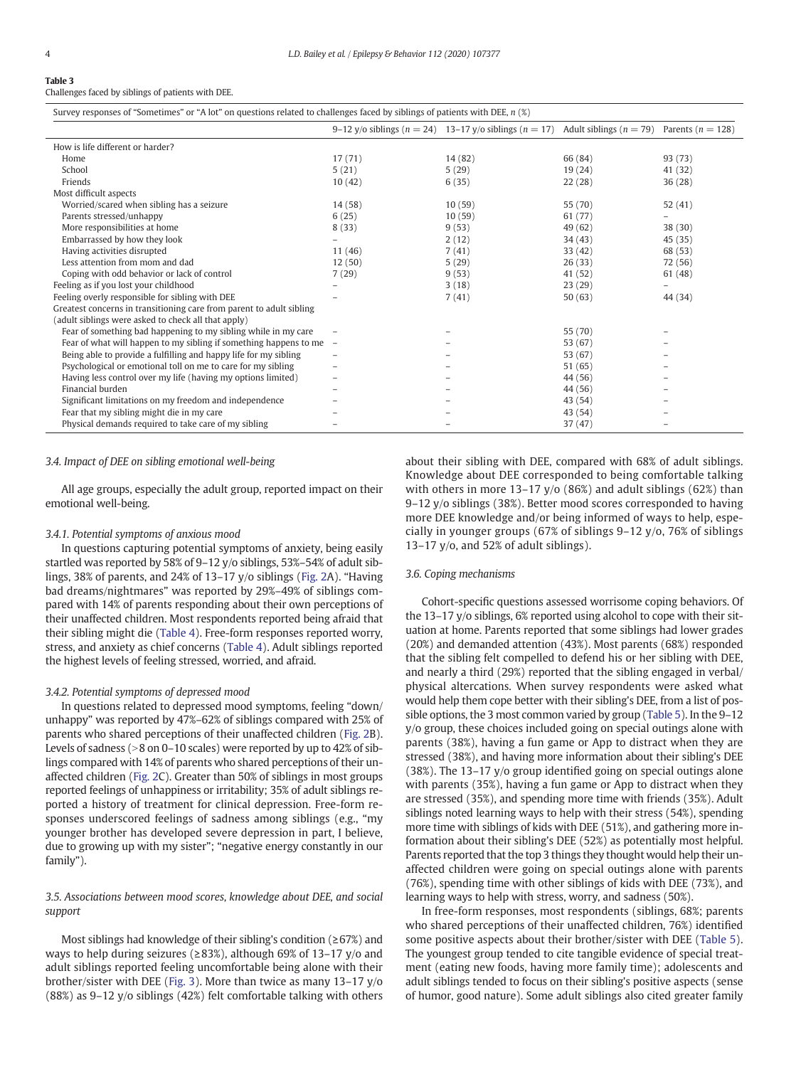## Table 3

Challenges faced by siblings of patients with DEE.

| Survey responses of "Sometimes" or "A lot" on questions related to challenges faced by siblings of patients with DEE, $n$ (%) |                          |                                                                                                                  |         |         |
|-------------------------------------------------------------------------------------------------------------------------------|--------------------------|------------------------------------------------------------------------------------------------------------------|---------|---------|
|                                                                                                                               |                          | 9–12 y/o siblings ( $n = 24$ ) 13–17 y/o siblings ( $n = 17$ ) Adult siblings ( $n = 79$ ) Parents ( $n = 128$ ) |         |         |
| How is life different or harder?                                                                                              |                          |                                                                                                                  |         |         |
| Home                                                                                                                          | 17(71)                   | 14 (82)                                                                                                          | 66 (84) | 93 (73) |
| School                                                                                                                        | 5(21)                    | 5(29)                                                                                                            | 19(24)  | 41 (32) |
| Friends                                                                                                                       | 10(42)                   | 6(35)                                                                                                            | 22(28)  | 36(28)  |
| Most difficult aspects                                                                                                        |                          |                                                                                                                  |         |         |
| Worried/scared when sibling has a seizure                                                                                     | 14(58)                   | 10(59)                                                                                                           | 55 (70) | 52(41)  |
| Parents stressed/unhappy                                                                                                      | 6(25)                    | 10(59)                                                                                                           | 61 (77) |         |
| More responsibilities at home                                                                                                 | 8(33)                    | 9(53)                                                                                                            | 49 (62) | 38(30)  |
| Embarrassed by how they look                                                                                                  |                          | 2(12)                                                                                                            | 34(43)  | 45 (35) |
| Having activities disrupted                                                                                                   | 11(46)                   | 7(41)                                                                                                            | 33(42)  | 68 (53) |
| Less attention from mom and dad                                                                                               | 12(50)                   | 5(29)                                                                                                            | 26(33)  | 72 (56) |
| Coping with odd behavior or lack of control                                                                                   | 7(29)                    | 9(53)                                                                                                            | 41 (52) | 61(48)  |
| Feeling as if you lost your childhood                                                                                         |                          | 3(18)                                                                                                            | 23(29)  |         |
| Feeling overly responsible for sibling with DEE                                                                               |                          | 7(41)                                                                                                            | 50(63)  | 44 (34) |
| Greatest concerns in transitioning care from parent to adult sibling                                                          |                          |                                                                                                                  |         |         |
| (adult siblings were asked to check all that apply)                                                                           |                          |                                                                                                                  |         |         |
| Fear of something bad happening to my sibling while in my care                                                                |                          |                                                                                                                  | 55 (70) |         |
| Fear of what will happen to my sibling if something happens to me                                                             | $\overline{\phantom{a}}$ |                                                                                                                  | 53 (67) |         |
| Being able to provide a fulfilling and happy life for my sibling                                                              | -                        |                                                                                                                  | 53 (67) |         |
| Psychological or emotional toll on me to care for my sibling                                                                  |                          |                                                                                                                  | 51 (65) |         |
| Having less control over my life (having my options limited)                                                                  | -                        |                                                                                                                  | 44 (56) |         |
| Financial burden                                                                                                              |                          |                                                                                                                  | 44 (56) |         |
| Significant limitations on my freedom and independence                                                                        |                          |                                                                                                                  | 43 (54) |         |
| Fear that my sibling might die in my care                                                                                     |                          |                                                                                                                  | 43 (54) |         |
| Physical demands required to take care of my sibling                                                                          |                          |                                                                                                                  | 37(47)  |         |

#### 3.4. Impact of DEE on sibling emotional well-being

All age groups, especially the adult group, reported impact on their emotional well-being.

#### 3.4.1. Potential symptoms of anxious mood

In questions capturing potential symptoms of anxiety, being easily startled was reported by 58% of 9–12 y/o siblings, 53%–54% of adult siblings, 38% of parents, and 24% of 13–17 y/o siblings (Fig. 2A). "Having bad dreams/nightmares" was reported by 29%–49% of siblings compared with 14% of parents responding about their own perceptions of their unaffected children. Most respondents reported being afraid that their sibling might die (Table 4). Free-form responses reported worry, stress, and anxiety as chief concerns (Table 4). Adult siblings reported the highest levels of feeling stressed, worried, and afraid.

#### 3.4.2. Potential symptoms of depressed mood

In questions related to depressed mood symptoms, feeling "down/ unhappy" was reported by 47%–62% of siblings compared with 25% of parents who shared perceptions of their unaffected children (Fig. 2B). Levels of sadness ( $>8$  on 0–10 scales) were reported by up to 42% of siblings compared with 14% of parents who shared perceptions of their unaffected children (Fig. 2C). Greater than 50% of siblings in most groups reported feelings of unhappiness or irritability; 35% of adult siblings reported a history of treatment for clinical depression. Free-form responses underscored feelings of sadness among siblings (e.g., "my younger brother has developed severe depression in part, I believe, due to growing up with my sister"; "negative energy constantly in our family").

#### 3.5. Associations between mood scores, knowledge about DEE, and social support

Most siblings had knowledge of their sibling's condition (≥67%) and ways to help during seizures (≥83%), although 69% of 13–17 y/o and adult siblings reported feeling uncomfortable being alone with their brother/sister with DEE (Fig. 3). More than twice as many 13–17 y/o (88%) as 9–12 y/o siblings (42%) felt comfortable talking with others about their sibling with DEE, compared with 68% of adult siblings. Knowledge about DEE corresponded to being comfortable talking with others in more 13–17 y/o (86%) and adult siblings (62%) than 9–12 y/o siblings (38%). Better mood scores corresponded to having more DEE knowledge and/or being informed of ways to help, especially in younger groups (67% of siblings 9–12 y/o, 76% of siblings 13–17 y/o, and 52% of adult siblings).

#### 3.6. Coping mechanisms

Cohort-specific questions assessed worrisome coping behaviors. Of the 13–17 y/o siblings, 6% reported using alcohol to cope with their situation at home. Parents reported that some siblings had lower grades (20%) and demanded attention (43%). Most parents (68%) responded that the sibling felt compelled to defend his or her sibling with DEE, and nearly a third (29%) reported that the sibling engaged in verbal/ physical altercations. When survey respondents were asked what would help them cope better with their sibling's DEE, from a list of possible options, the 3 most common varied by group (Table 5). In the 9–12 y/o group, these choices included going on special outings alone with parents (38%), having a fun game or App to distract when they are stressed (38%), and having more information about their sibling's DEE (38%). The 13–17 y/o group identified going on special outings alone with parents (35%), having a fun game or App to distract when they are stressed (35%), and spending more time with friends (35%). Adult siblings noted learning ways to help with their stress (54%), spending more time with siblings of kids with DEE (51%), and gathering more information about their sibling's DEE (52%) as potentially most helpful. Parents reported that the top 3 things they thought would help their unaffected children were going on special outings alone with parents (76%), spending time with other siblings of kids with DEE (73%), and learning ways to help with stress, worry, and sadness (50%).

In free-form responses, most respondents (siblings, 68%; parents who shared perceptions of their unaffected children, 76%) identified some positive aspects about their brother/sister with DEE (Table 5). The youngest group tended to cite tangible evidence of special treatment (eating new foods, having more family time); adolescents and adult siblings tended to focus on their sibling's positive aspects (sense of humor, good nature). Some adult siblings also cited greater family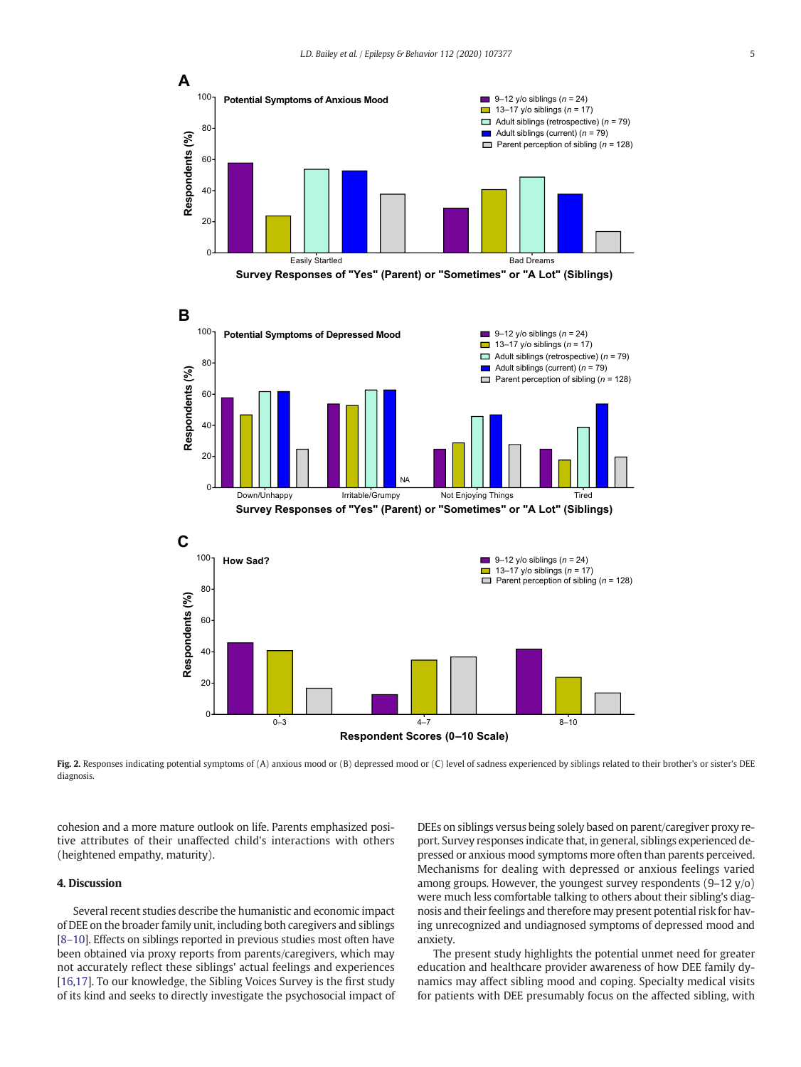







Fig. 2. Responses indicating potential symptoms of (A) anxious mood or (B) depressed mood or (C) level of sadness experienced by siblings related to their brother's or sister's DEE diagnosis.

cohesion and a more mature outlook on life. Parents emphasized positive attributes of their unaffected child's interactions with others (heightened empathy, maturity).

### 4. Discussion

Several recent studies describe the humanistic and economic impact of DEE on the broader family unit, including both caregivers and siblings [8–10]. Effects on siblings reported in previous studies most often have been obtained via proxy reports from parents/caregivers, which may not accurately reflect these siblings' actual feelings and experiences [16,17]. To our knowledge, the Sibling Voices Survey is the first study of its kind and seeks to directly investigate the psychosocial impact of DEEs on siblings versus being solely based on parent/caregiver proxy report. Survey responses indicate that, in general, siblings experienced depressed or anxious mood symptoms more often than parents perceived. Mechanisms for dealing with depressed or anxious feelings varied among groups. However, the youngest survey respondents (9–12 y/o) were much less comfortable talking to others about their sibling's diagnosis and their feelings and therefore may present potential risk for having unrecognized and undiagnosed symptoms of depressed mood and anxiety.

The present study highlights the potential unmet need for greater education and healthcare provider awareness of how DEE family dynamics may affect sibling mood and coping. Specialty medical visits for patients with DEE presumably focus on the affected sibling, with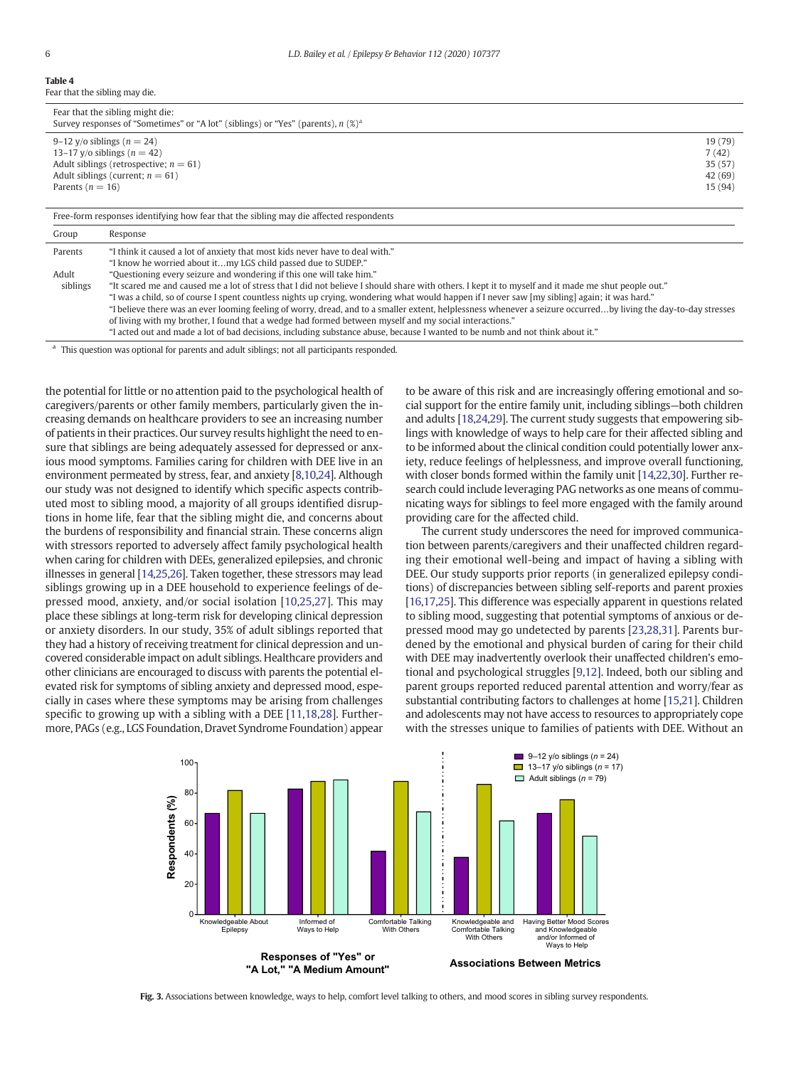Table 4 Fear that the sibling may die.

|                      | Fear that the sibling might die:<br>Survey responses of "Sometimes" or "A lot" (siblings) or "Yes" (parents), $n \ (\%)^a$                                                                                                                                                                                                                                                                                                                                                                                                                       |                                                   |
|----------------------|--------------------------------------------------------------------------------------------------------------------------------------------------------------------------------------------------------------------------------------------------------------------------------------------------------------------------------------------------------------------------------------------------------------------------------------------------------------------------------------------------------------------------------------------------|---------------------------------------------------|
| Parents ( $n = 16$ ) | 9–12 y/o siblings ( $n = 24$ )<br>13–17 y/o siblings ( $n = 42$ )<br>Adult siblings (retrospective; $n = 61$ )<br>Adult siblings (current; $n = 61$ )                                                                                                                                                                                                                                                                                                                                                                                            | 19 (79)<br>7(42)<br>35 (57)<br>42 (69)<br>15 (94) |
|                      | Free-form responses identifying how fear that the sibling may die affected respondents                                                                                                                                                                                                                                                                                                                                                                                                                                                           |                                                   |
| Group                | Response                                                                                                                                                                                                                                                                                                                                                                                                                                                                                                                                         |                                                   |
| Parents              | "I think it caused a lot of anxiety that most kids never have to deal with."<br>"I know he worried about itmy LGS child passed due to SUDEP."                                                                                                                                                                                                                                                                                                                                                                                                    |                                                   |
| Adult<br>siblings    | "Questioning every seizure and wondering if this one will take him."<br>"It scared me and caused me a lot of stress that I did not believe I should share with others. I kept it to myself and it made me shut people out."<br>"I was a child, so of course I spent countless nights up crying, wondering what would happen if I never saw [my sibling] again; it was hard."<br>"I believe there was an ever looming feeling of worry dread, and to a smaller extent, helplessness whenever a seizure occurred by living the day-to-day stresses |                                                   |

"I believe there was an ever looming feeling of worry, dread, and to a smaller extent, helplessness whenever a seizure occurred…by living the day-to-day stresses of living with my brother, I found that a wedge had formed between myself and my social interactions."

"I acted out and made a lot of bad decisions, including substance abuse, because I wanted to be numb and not think about it."

<sup>a</sup> This question was optional for parents and adult siblings; not all participants responded.

the potential for little or no attention paid to the psychological health of caregivers/parents or other family members, particularly given the increasing demands on healthcare providers to see an increasing number of patients in their practices. Our survey results highlight the need to ensure that siblings are being adequately assessed for depressed or anxious mood symptoms. Families caring for children with DEE live in an environment permeated by stress, fear, and anxiety [8,10,24]. Although our study was not designed to identify which specific aspects contributed most to sibling mood, a majority of all groups identified disruptions in home life, fear that the sibling might die, and concerns about the burdens of responsibility and financial strain. These concerns align with stressors reported to adversely affect family psychological health when caring for children with DEEs, generalized epilepsies, and chronic illnesses in general [14,25,26]. Taken together, these stressors may lead siblings growing up in a DEE household to experience feelings of depressed mood, anxiety, and/or social isolation [10,25,27]. This may place these siblings at long-term risk for developing clinical depression or anxiety disorders. In our study, 35% of adult siblings reported that they had a history of receiving treatment for clinical depression and uncovered considerable impact on adult siblings. Healthcare providers and other clinicians are encouraged to discuss with parents the potential elevated risk for symptoms of sibling anxiety and depressed mood, especially in cases where these symptoms may be arising from challenges specific to growing up with a sibling with a DEE [11,18,28]. Furthermore, PAGs (e.g., LGS Foundation, Dravet Syndrome Foundation) appear

to be aware of this risk and are increasingly offering emotional and social support for the entire family unit, including siblings—both children and adults [18,24,29]. The current study suggests that empowering siblings with knowledge of ways to help care for their affected sibling and to be informed about the clinical condition could potentially lower anxiety, reduce feelings of helplessness, and improve overall functioning, with closer bonds formed within the family unit [14,22,30]. Further research could include leveraging PAG networks as one means of communicating ways for siblings to feel more engaged with the family around providing care for the affected child.

The current study underscores the need for improved communication between parents/caregivers and their unaffected children regarding their emotional well-being and impact of having a sibling with DEE. Our study supports prior reports (in generalized epilepsy conditions) of discrepancies between sibling self-reports and parent proxies [16,17,25]. This difference was especially apparent in questions related to sibling mood, suggesting that potential symptoms of anxious or depressed mood may go undetected by parents [23,28,31]. Parents burdened by the emotional and physical burden of caring for their child with DEE may inadvertently overlook their unaffected children's emotional and psychological struggles [9,12]. Indeed, both our sibling and parent groups reported reduced parental attention and worry/fear as substantial contributing factors to challenges at home [15,21]. Children and adolescents may not have access to resources to appropriately cope with the stresses unique to families of patients with DEE. Without an



Fig. 3. Associations between knowledge, ways to help, comfort level talking to others, and mood scores in sibling survey respondents.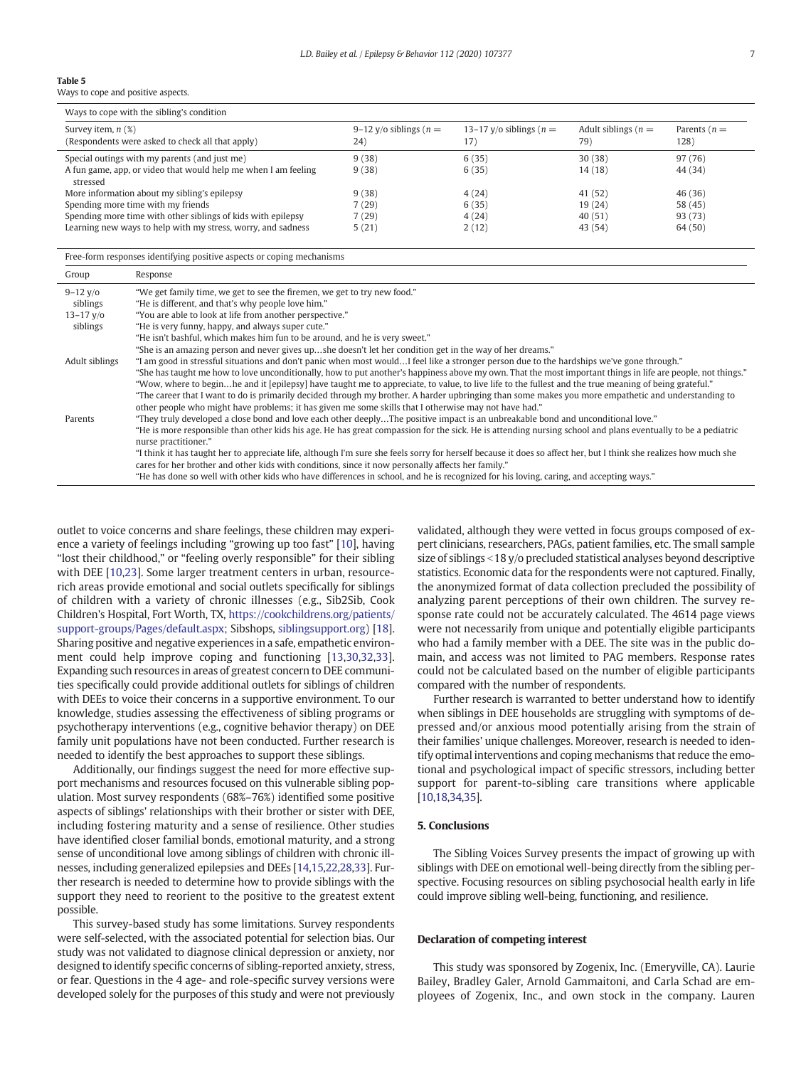#### Table 5

Ways to cope and positive aspects.

| Ways to cope with the sibling's condition                                   |                                  |                                   |                               |                        |
|-----------------------------------------------------------------------------|----------------------------------|-----------------------------------|-------------------------------|------------------------|
| Survey item, $n$ $(\%)$<br>(Respondents were asked to check all that apply) | 9–12 y/o siblings ( $n =$<br>24) | 13–17 y/o siblings ( $n =$<br>17) | Adult siblings ( $n =$<br>79) | Parents $(n =$<br>128) |
| Special outings with my parents (and just me)                               | 9(38)                            | 6(35)                             | 30(38)                        | 97 (76)                |
| A fun game, app, or video that would help me when I am feeling<br>stressed  | 9(38)                            | 6(35)                             | 14(18)                        | 44 (34)                |
| More information about my sibling's epilepsy                                | 9(38)                            | 4(24)                             | 41 (52)                       | 46 (36)                |
| Spending more time with my friends                                          | 7(29)                            | 6(35)                             | 19(24)                        | 58 (45)                |
| Spending more time with other siblings of kids with epilepsy                | 7(29)                            | 4(24)                             | 40(51)                        | 93 (73)                |
| Learning new ways to help with my stress, worry, and sadness                | 5(21)                            | 2(12)                             | 43 (54)                       | 64 (50)                |

Free-form responses identifying positive aspects or coping mechanisms

| Group           | Response                                                                                                                                                          |
|-----------------|-------------------------------------------------------------------------------------------------------------------------------------------------------------------|
| $9 - 12$ y/o    | "We get family time, we get to see the firemen, we get to try new food."                                                                                          |
| siblings        | "He is different, and that's why people love him."                                                                                                                |
| $13 - 17$ $V/O$ | "You are able to look at life from another perspective."                                                                                                          |
| siblings        | "He is very funny, happy, and always super cute."                                                                                                                 |
|                 | "He isn't bashful, which makes him fun to be around, and he is very sweet."                                                                                       |
|                 | "She is an amazing person and never gives upshe doesn't let her condition get in the way of her dreams."                                                          |
| Adult siblings  | "I am good in stressful situations and don't panic when most wouldI feel like a stronger person due to the hardships we've gone through."                         |
|                 | "She has taught me how to love unconditionally, how to put another's happiness above my own. That the most important things in life are people, not things."      |
|                 | "Wow, where to beginhe and it [epilepsy] have taught me to appreciate, to value, to live life to the fullest and the true meaning of being grateful."             |
|                 | "The career that I want to do is primarily decided through my brother. A harder upbringing than some makes you more empathetic and understanding to               |
|                 | other people who might have problems; it has given me some skills that I otherwise may not have had."                                                             |
| Parents         | "They truly developed a close bond and love each other deeplyThe positive impact is an unbreakable bond and unconditional love."                                  |
|                 | "He is more responsible than other kids his age. He has great compassion for the sick. He is attending nursing school and plans eventually to be a pediatric      |
|                 | nurse practitioner."                                                                                                                                              |
|                 | "I think it has taught her to appreciate life, although I'm sure she feels sorry for herself because it does so affect her, but I think she realizes how much she |
|                 | cares for her brother and other kids with conditions, since it now personally affects her family."                                                                |
|                 | "He has done so well with other kids who have differences in school, and he is recognized for his loving, caring, and accepting ways."                            |

outlet to voice concerns and share feelings, these children may experience a variety of feelings including "growing up too fast" [10], having "lost their childhood," or "feeling overly responsible" for their sibling with DEE [10,23]. Some larger treatment centers in urban, resourcerich areas provide emotional and social outlets specifically for siblings of children with a variety of chronic illnesses (e.g., Sib2Sib, Cook Children's Hospital, Fort Worth, TX, https://cookchildrens.org/patients/ support-groups/Pages/default.aspx; Sibshops, siblingsupport.org) [18]. Sharing positive and negative experiences in a safe, empathetic environment could help improve coping and functioning [13,30,32,33]. Expanding such resources in areas of greatest concern to DEE communities specifically could provide additional outlets for siblings of children with DEEs to voice their concerns in a supportive environment. To our knowledge, studies assessing the effectiveness of sibling programs or psychotherapy interventions (e.g., cognitive behavior therapy) on DEE family unit populations have not been conducted. Further research is needed to identify the best approaches to support these siblings.

Additionally, our findings suggest the need for more effective support mechanisms and resources focused on this vulnerable sibling population. Most survey respondents (68%–76%) identified some positive aspects of siblings' relationships with their brother or sister with DEE, including fostering maturity and a sense of resilience. Other studies have identified closer familial bonds, emotional maturity, and a strong sense of unconditional love among siblings of children with chronic illnesses, including generalized epilepsies and DEEs [14,15,22,28,33]. Further research is needed to determine how to provide siblings with the support they need to reorient to the positive to the greatest extent possible.

This survey-based study has some limitations. Survey respondents were self-selected, with the associated potential for selection bias. Our study was not validated to diagnose clinical depression or anxiety, nor designed to identify specific concerns of sibling-reported anxiety, stress, or fear. Questions in the 4 age- and role-specific survey versions were developed solely for the purposes of this study and were not previously validated, although they were vetted in focus groups composed of expert clinicians, researchers, PAGs, patient families, etc. The small sample size of siblings  $\leq$  18 y/o precluded statistical analyses beyond descriptive statistics. Economic data for the respondents were not captured. Finally, the anonymized format of data collection precluded the possibility of analyzing parent perceptions of their own children. The survey response rate could not be accurately calculated. The 4614 page views were not necessarily from unique and potentially eligible participants who had a family member with a DEE. The site was in the public domain, and access was not limited to PAG members. Response rates could not be calculated based on the number of eligible participants compared with the number of respondents.

Further research is warranted to better understand how to identify when siblings in DEE households are struggling with symptoms of depressed and/or anxious mood potentially arising from the strain of their families' unique challenges. Moreover, research is needed to identify optimal interventions and coping mechanisms that reduce the emotional and psychological impact of specific stressors, including better support for parent-to-sibling care transitions where applicable [10,18,34,35].

### 5. Conclusions

The Sibling Voices Survey presents the impact of growing up with siblings with DEE on emotional well-being directly from the sibling perspective. Focusing resources on sibling psychosocial health early in life could improve sibling well-being, functioning, and resilience.

#### Declaration of competing interest

This study was sponsored by Zogenix, Inc. (Emeryville, CA). Laurie Bailey, Bradley Galer, Arnold Gammaitoni, and Carla Schad are employees of Zogenix, Inc., and own stock in the company. Lauren